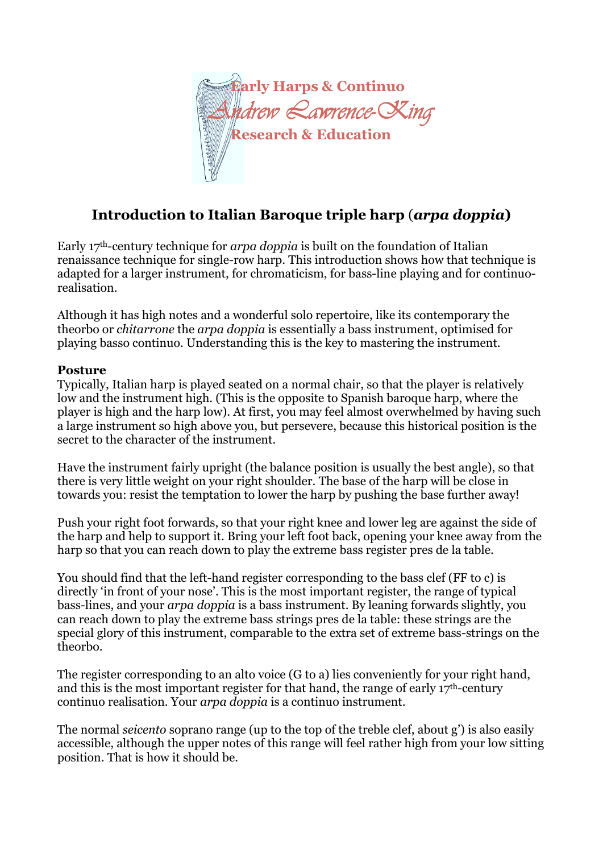

# **Introduction to Italian Baroque triple harp** (*arpa doppia***)**

Early 17th-century technique for *arpa doppia* is built on the foundation of Italian renaissance technique for single-row harp. This introduction shows how that technique is adapted for a larger instrument, for chromaticism, for bass-line playing and for continuorealisation.

Although it has high notes and a wonderful solo repertoire, like its contemporary the theorbo or *chitarrone* the *arpa doppia* is essentially a bass instrument, optimised for playing basso continuo. Understanding this is the key to mastering the instrument.

# **Posture**

Typically, Italian harp is played seated on a normal chair, so that the player is relatively low and the instrument high. (This is the opposite to Spanish baroque harp, where the player is high and the harp low). At first, you may feel almost overwhelmed by having such a large instrument so high above you, but persevere, because this historical position is the secret to the character of the instrument.

Have the instrument fairly upright (the balance position is usually the best angle), so that there is very little weight on your right shoulder. The base of the harp will be close in towards you: resist the temptation to lower the harp by pushing the base further away!

Push your right foot forwards, so that your right knee and lower leg are against the side of the harp and help to support it. Bring your left foot back, opening your knee away from the harp so that you can reach down to play the extreme bass register pres de la table.

You should find that the left-hand register corresponding to the bass clef (FF to c) is directly 'in front of your nose'. This is the most important register, the range of typical bass-lines, and your *arpa doppia* is a bass instrument. By leaning forwards slightly, you can reach down to play the extreme bass strings pres de la table: these strings are the special glory of this instrument, comparable to the extra set of extreme bass-strings on the theorbo.

The register corresponding to an alto voice (G to a) lies conveniently for your right hand, and this is the most important register for that hand, the range of early 17th-century continuo realisation. Your *arpa doppia* is a continuo instrument.

The normal *seicento* soprano range (up to the top of the treble clef, about g') is also easily accessible, although the upper notes of this range will feel rather high from your low sitting position. That is how it should be.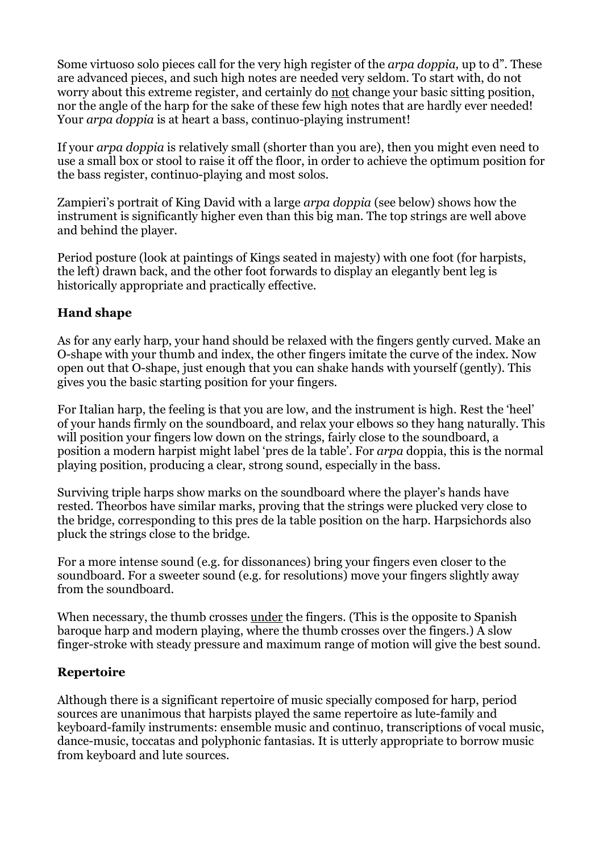Some virtuoso solo pieces call for the very high register of the *arpa doppia,* up to d". These are advanced pieces, and such high notes are needed very seldom. To start with, do not worry about this extreme register, and certainly do not change your basic sitting position, nor the angle of the harp for the sake of these few high notes that are hardly ever needed! Your *arpa doppia* is at heart a bass, continuo-playing instrument!

If your *arpa doppia* is relatively small (shorter than you are), then you might even need to use a small box or stool to raise it off the floor, in order to achieve the optimum position for the bass register, continuo-playing and most solos.

Zampieri's portrait of King David with a large *arpa doppia* (see below) shows how the instrument is significantly higher even than this big man. The top strings are well above and behind the player.

Period posture (look at paintings of Kings seated in majesty) with one foot (for harpists, the left) drawn back, and the other foot forwards to display an elegantly bent leg is historically appropriate and practically effective.

# **Hand shape**

As for any early harp, your hand should be relaxed with the fingers gently curved. Make an O-shape with your thumb and index, the other fingers imitate the curve of the index. Now open out that O-shape, just enough that you can shake hands with yourself (gently). This gives you the basic starting position for your fingers.

For Italian harp, the feeling is that you are low, and the instrument is high. Rest the 'heel' of your hands firmly on the soundboard, and relax your elbows so they hang naturally. This will position your fingers low down on the strings, fairly close to the soundboard, a position a modern harpist might label 'pres de la table'. For *arpa* doppia, this is the normal playing position, producing a clear, strong sound, especially in the bass.

Surviving triple harps show marks on the soundboard where the player's hands have rested. Theorbos have similar marks, proving that the strings were plucked very close to the bridge, corresponding to this pres de la table position on the harp. Harpsichords also pluck the strings close to the bridge.

For a more intense sound (e.g. for dissonances) bring your fingers even closer to the soundboard. For a sweeter sound (e.g. for resolutions) move your fingers slightly away from the soundboard.

When necessary, the thumb crosses under the fingers. (This is the opposite to Spanish baroque harp and modern playing, where the thumb crosses over the fingers.) A slow finger-stroke with steady pressure and maximum range of motion will give the best sound.

# **Repertoire**

Although there is a significant repertoire of music specially composed for harp, period sources are unanimous that harpists played the same repertoire as lute-family and keyboard-family instruments: ensemble music and continuo, transcriptions of vocal music, dance-music, toccatas and polyphonic fantasias. It is utterly appropriate to borrow music from keyboard and lute sources.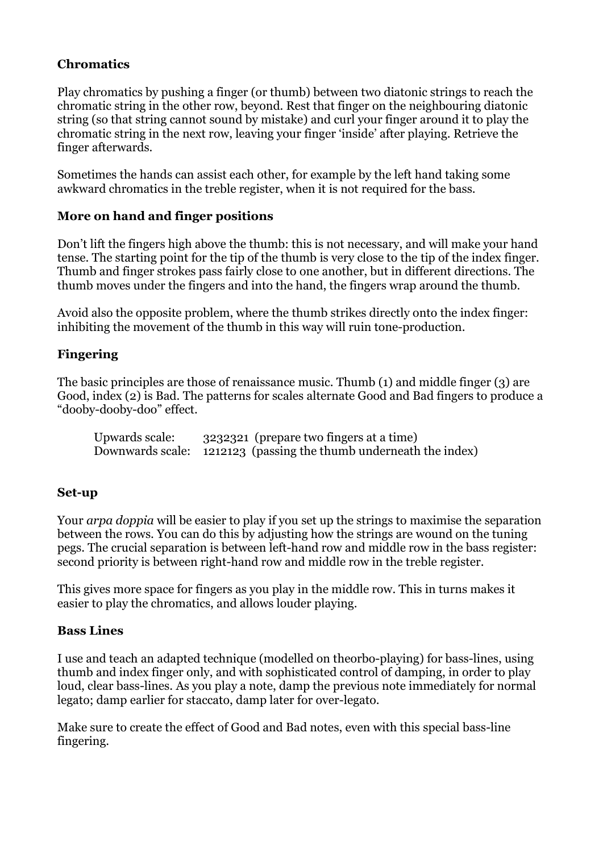# **Chromatics**

Play chromatics by pushing a finger (or thumb) between two diatonic strings to reach the chromatic string in the other row, beyond. Rest that finger on the neighbouring diatonic string (so that string cannot sound by mistake) and curl your finger around it to play the chromatic string in the next row, leaving your finger 'inside' after playing. Retrieve the finger afterwards.

Sometimes the hands can assist each other, for example by the left hand taking some awkward chromatics in the treble register, when it is not required for the bass.

# **More on hand and finger positions**

Don't lift the fingers high above the thumb: this is not necessary, and will make your hand tense. The starting point for the tip of the thumb is very close to the tip of the index finger. Thumb and finger strokes pass fairly close to one another, but in different directions. The thumb moves under the fingers and into the hand, the fingers wrap around the thumb.

Avoid also the opposite problem, where the thumb strikes directly onto the index finger: inhibiting the movement of the thumb in this way will ruin tone-production.

# **Fingering**

The basic principles are those of renaissance music. Thumb (1) and middle finger (3) are Good, index (2) is Bad. The patterns for scales alternate Good and Bad fingers to produce a "dooby-dooby-doo" effect.

| Upwards scale: | 3232321 (prepare two fingers at a time)                           |
|----------------|-------------------------------------------------------------------|
|                | Downwards scale: 1212123 (passing the thumb underneath the index) |

# **Set-up**

Your *arpa doppia* will be easier to play if you set up the strings to maximise the separation between the rows. You can do this by adjusting how the strings are wound on the tuning pegs. The crucial separation is between left-hand row and middle row in the bass register: second priority is between right-hand row and middle row in the treble register.

This gives more space for fingers as you play in the middle row. This in turns makes it easier to play the chromatics, and allows louder playing.

# **Bass Lines**

I use and teach an adapted technique (modelled on theorbo-playing) for bass-lines, using thumb and index finger only, and with sophisticated control of damping, in order to play loud, clear bass-lines. As you play a note, damp the previous note immediately for normal legato; damp earlier for staccato, damp later for over-legato.

Make sure to create the effect of Good and Bad notes, even with this special bass-line fingering.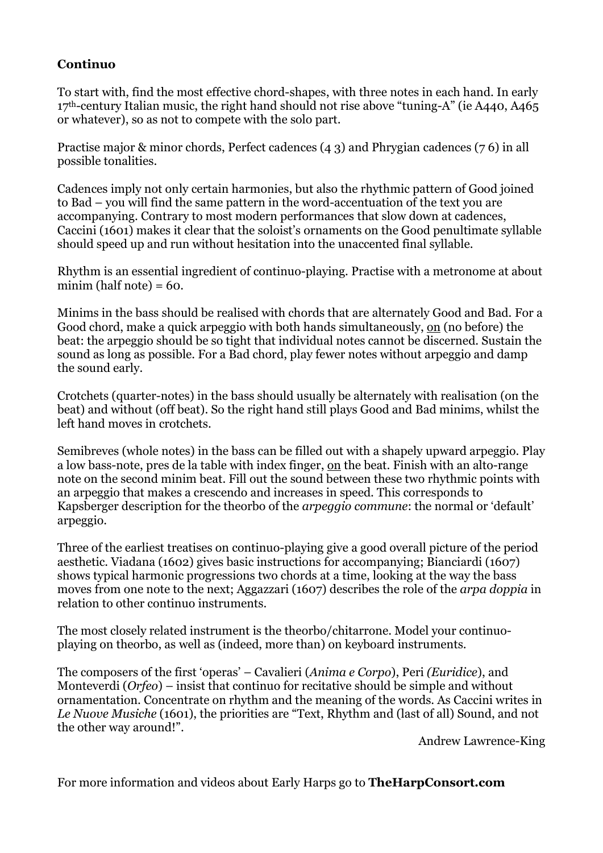# **Continuo**

To start with, find the most effective chord-shapes, with three notes in each hand. In early  $17<sup>th</sup>$ -century Italian music, the right hand should not rise above "tuning-A" (ie A440, A465) or whatever), so as not to compete with the solo part.

Practise major & minor chords, Perfect cadences (4 3) and Phrygian cadences (7 6) in all possible tonalities.

Cadences imply not only certain harmonies, but also the rhythmic pattern of Good joined to Bad – you will find the same pattern in the word-accentuation of the text you are accompanying. Contrary to most modern performances that slow down at cadences, Caccini (1601) makes it clear that the soloist's ornaments on the Good penultimate syllable should speed up and run without hesitation into the unaccented final syllable.

Rhythm is an essential ingredient of continuo-playing. Practise with a metronome at about minim (half note)  $= 60$ .

Minims in the bass should be realised with chords that are alternately Good and Bad. For a Good chord, make a quick arpeggio with both hands simultaneously, on (no before) the beat: the arpeggio should be so tight that individual notes cannot be discerned. Sustain the sound as long as possible. For a Bad chord, play fewer notes without arpeggio and damp the sound early.

Crotchets (quarter-notes) in the bass should usually be alternately with realisation (on the beat) and without (off beat). So the right hand still plays Good and Bad minims, whilst the left hand moves in crotchets.

Semibreves (whole notes) in the bass can be filled out with a shapely upward arpeggio. Play a low bass-note, pres de la table with index finger, on the beat. Finish with an alto-range note on the second minim beat. Fill out the sound between these two rhythmic points with an arpeggio that makes a crescendo and increases in speed. This corresponds to Kapsberger description for the theorbo of the *arpeggio commune*: the normal or 'default' arpeggio.

Three of the earliest treatises on continuo-playing give a good overall picture of the period aesthetic. Viadana (1602) gives basic instructions for accompanying; Bianciardi (1607) shows typical harmonic progressions two chords at a time, looking at the way the bass moves from one note to the next; Aggazzari (1607) describes the role of the *arpa doppia* in relation to other continuo instruments.

The most closely related instrument is the theorbo/chitarrone. Model your continuoplaying on theorbo, as well as (indeed, more than) on keyboard instruments.

The composers of the first 'operas' – Cavalieri (*Anima e Corpo*), Peri *(Euridice*), and Monteverdi (*Orfeo*) – insist that continuo for recitative should be simple and without ornamentation. Concentrate on rhythm and the meaning of the words. As Caccini writes in *Le Nuove Musiche* (1601), the priorities are "Text, Rhythm and (last of all) Sound, and not the other way around!".

Andrew Lawrence-King

For more information and videos about Early Harps go to **TheHarpConsort.com**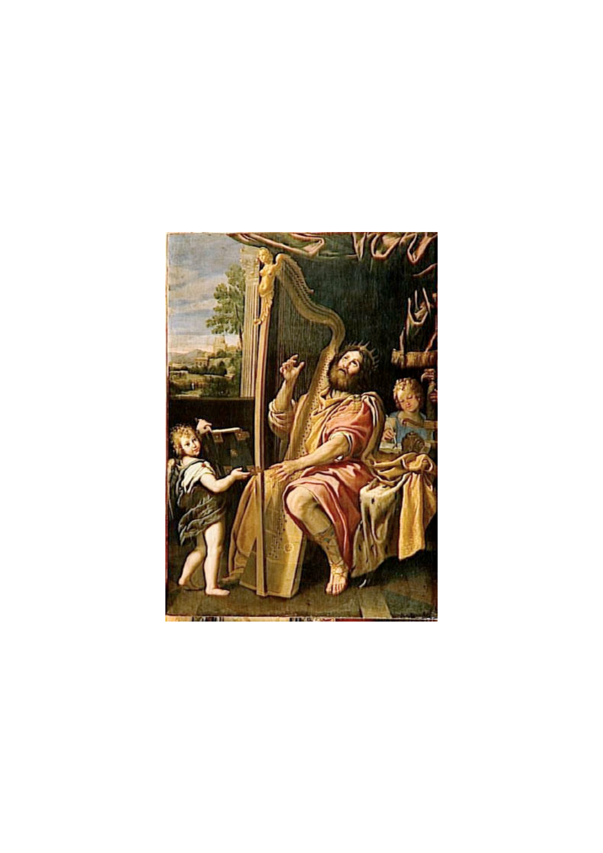